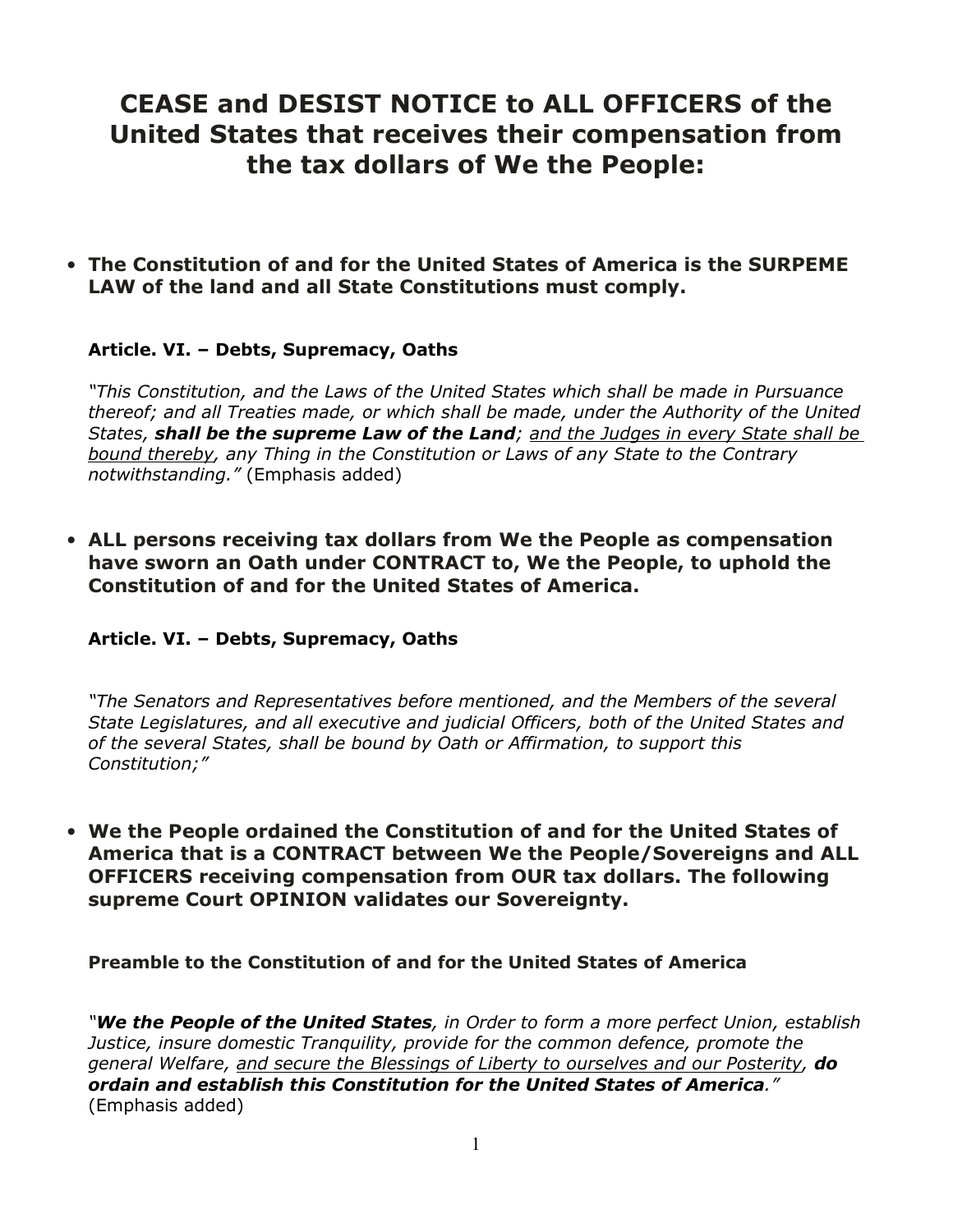# **CEASE and DESIST NOTICE to ALL OFFICERS of the United States that receives their compensation from the tax dollars of We the People:**

• **The Constitution of and for the United States of America is the SURPEME LAW of the land and all State Constitutions must comply.** 

### **Article. VI. – Debts, Supremacy, Oaths**

*"This Constitution, and the Laws of the United States which shall be made in Pursuance thereof; and all Treaties made, or which shall be made, under the Authority of the United States, shall be the supreme Law of the Land; and the Judges in every State shall be bound thereby, any Thing in the Constitution or Laws of any State to the Contrary notwithstanding."* (Emphasis added)

• **ALL persons receiving tax dollars from We the People as compensation have sworn an Oath under CONTRACT to, We the People, to uphold the Constitution of and for the United States of America.** 

### **Article. VI. – Debts, Supremacy, Oaths**

*"The Senators and Representatives before mentioned, and the Members of the several State Legislatures, and all executive and judicial Officers, both of the United States and of the several States, shall be bound by Oath or Affirmation, to support this Constitution;"* 

• **We the People ordained the Constitution of and for the United States of America that is a CONTRACT between We the People/Sovereigns and ALL OFFICERS receiving compensation from OUR tax dollars. The following supreme Court OPINION validates our Sovereignty.** 

**Preamble to the Constitution of and for the United States of America** 

*"We the People of the United States, in Order to form a more perfect Union, establish Justice, insure domestic Tranquility, provide for the common defence, promote the general Welfare, and secure the Blessings of Liberty to ourselves and our Posterity, do ordain and establish this Constitution for the United States of America."*  (Emphasis added)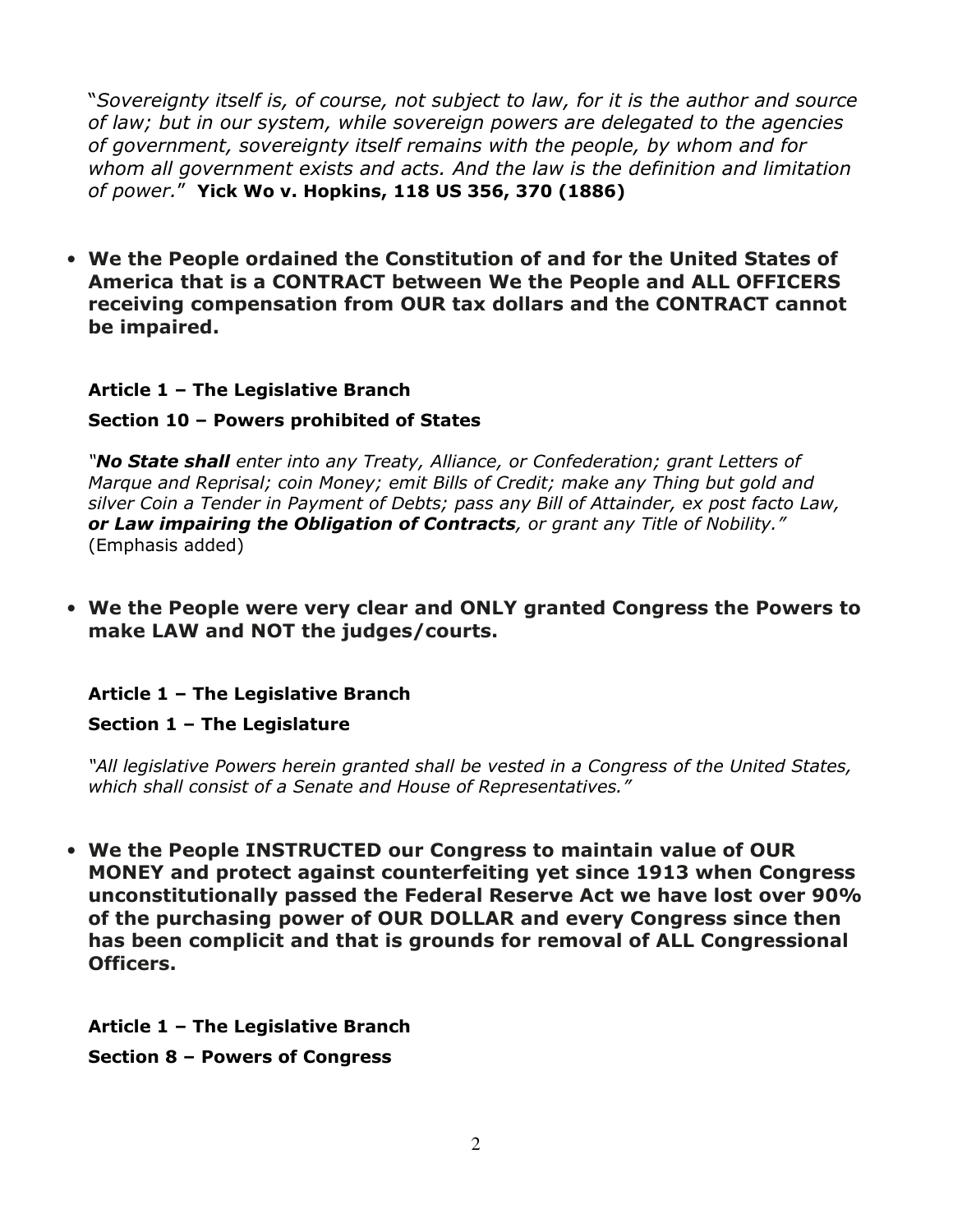"*Sovereignty itself is, of course, not subject to law, for it is the author and source of law; but in our system, while sovereign powers are delegated to the agencies of government, sovereignty itself remains with the people, by whom and for whom all government exists and acts. And the law is the definition and limitation of power.*"**Yick Wo v. Hopkins, 118 US 356, 370 (1886)**

• **We the People ordained the Constitution of and for the United States of America that is a CONTRACT between We the People and ALL OFFICERS receiving compensation from OUR tax dollars and the CONTRACT cannot be impaired.** 

### **Article 1 – The Legislative Branch**

### **Section 10 – Powers prohibited of States**

*"No State shall enter into any Treaty, Alliance, or Confederation; grant Letters of Marque and Reprisal; coin Money; emit Bills of Credit; make any Thing but gold and silver Coin a Tender in Payment of Debts; pass any Bill of Attainder, ex post facto Law, or Law impairing the Obligation of Contracts, or grant any Title of Nobility."* (Emphasis added)

• **We the People were very clear and ONLY granted Congress the Powers to make LAW and NOT the judges/courts.** 

### **Article 1 – The Legislative Branch**

### **Section 1 – The Legislature**

*"All legislative Powers herein granted shall be vested in a Congress of the United States, which shall consist of a Senate and House of Representatives."* 

• **We the People INSTRUCTED our Congress to maintain value of OUR MONEY and protect against counterfeiting yet since 1913 when Congress unconstitutionally passed the Federal Reserve Act we have lost over 90% of the purchasing power of OUR DOLLAR and every Congress since then has been complicit and that is grounds for removal of ALL Congressional Officers.** 

**Article 1 – The Legislative Branch Section 8 – Powers of Congress**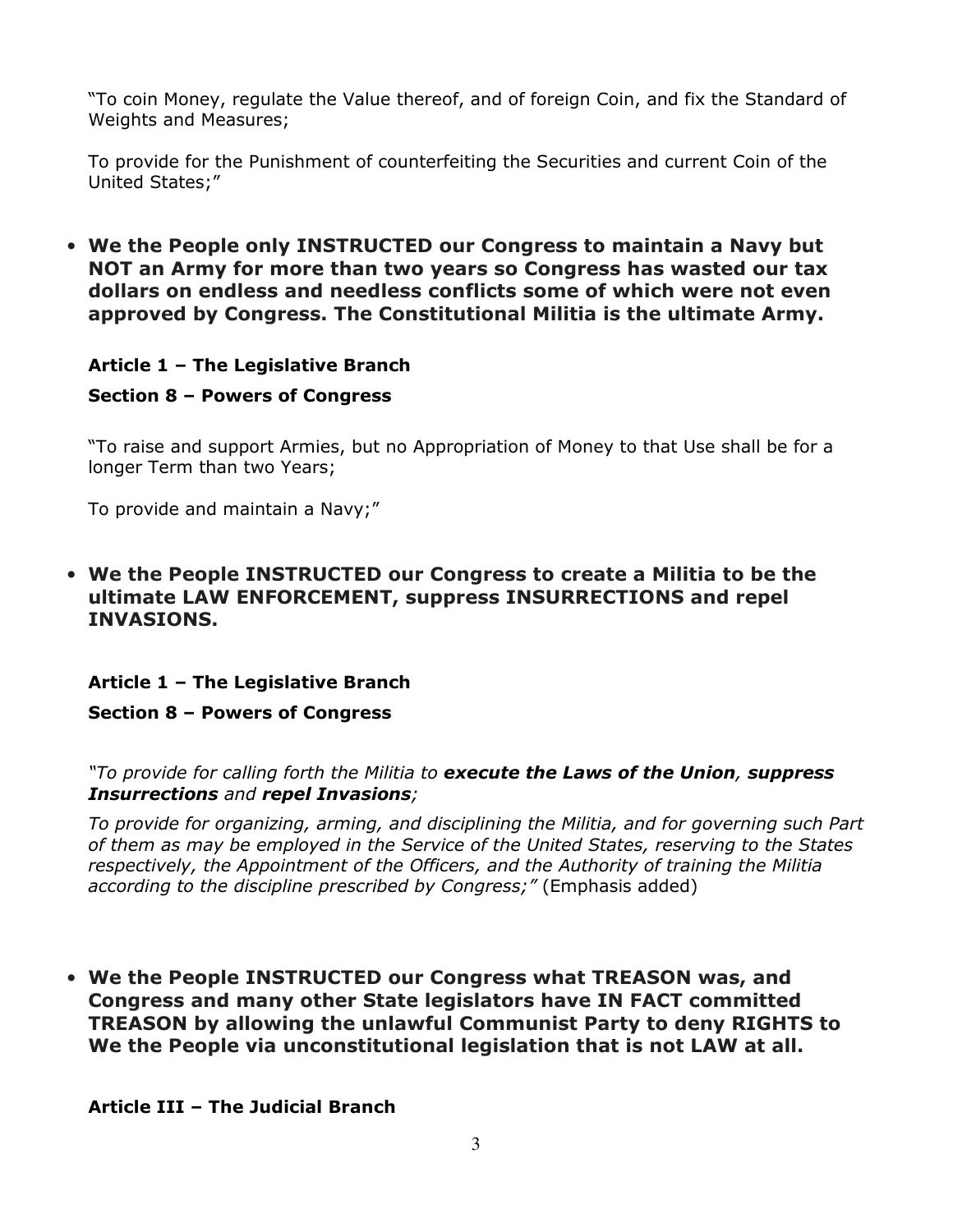"To coin Money, regulate the Value thereof, and of foreign Coin, and fix the Standard of Weights and Measures;

To provide for the Punishment of counterfeiting the Securities and current Coin of the United States;"

• **We the People only INSTRUCTED our Congress to maintain a Navy but NOT an Army for more than two years so Congress has wasted our tax dollars on endless and needless conflicts some of which were not even approved by Congress. The Constitutional Militia is the ultimate Army.** 

### **Article 1 – The Legislative Branch**

### **Section 8 – Powers of Congress**

"To raise and support Armies, but no Appropriation of Money to that Use shall be for a longer Term than two Years;

To provide and maintain a Navy;"

### • **We the People INSTRUCTED our Congress to create a Militia to be the ultimate LAW ENFORCEMENT, suppress INSURRECTIONS and repel INVASIONS.**

**Article 1 – The Legislative Branch** 

### **Section 8 – Powers of Congress**

### *"To provide for calling forth the Militia to execute the Laws of the Union, suppress Insurrections and repel Invasions;*

*To provide for organizing, arming, and disciplining the Militia, and for governing such Part of them as may be employed in the Service of the United States, reserving to the States respectively, the Appointment of the Officers, and the Authority of training the Militia according to the discipline prescribed by Congress;"* (Emphasis added)

• **We the People INSTRUCTED our Congress what TREASON was, and Congress and many other State legislators have IN FACT committed TREASON by allowing the unlawful Communist Party to deny RIGHTS to We the People via unconstitutional legislation that is not LAW at all.** 

### **Article III – The Judicial Branch**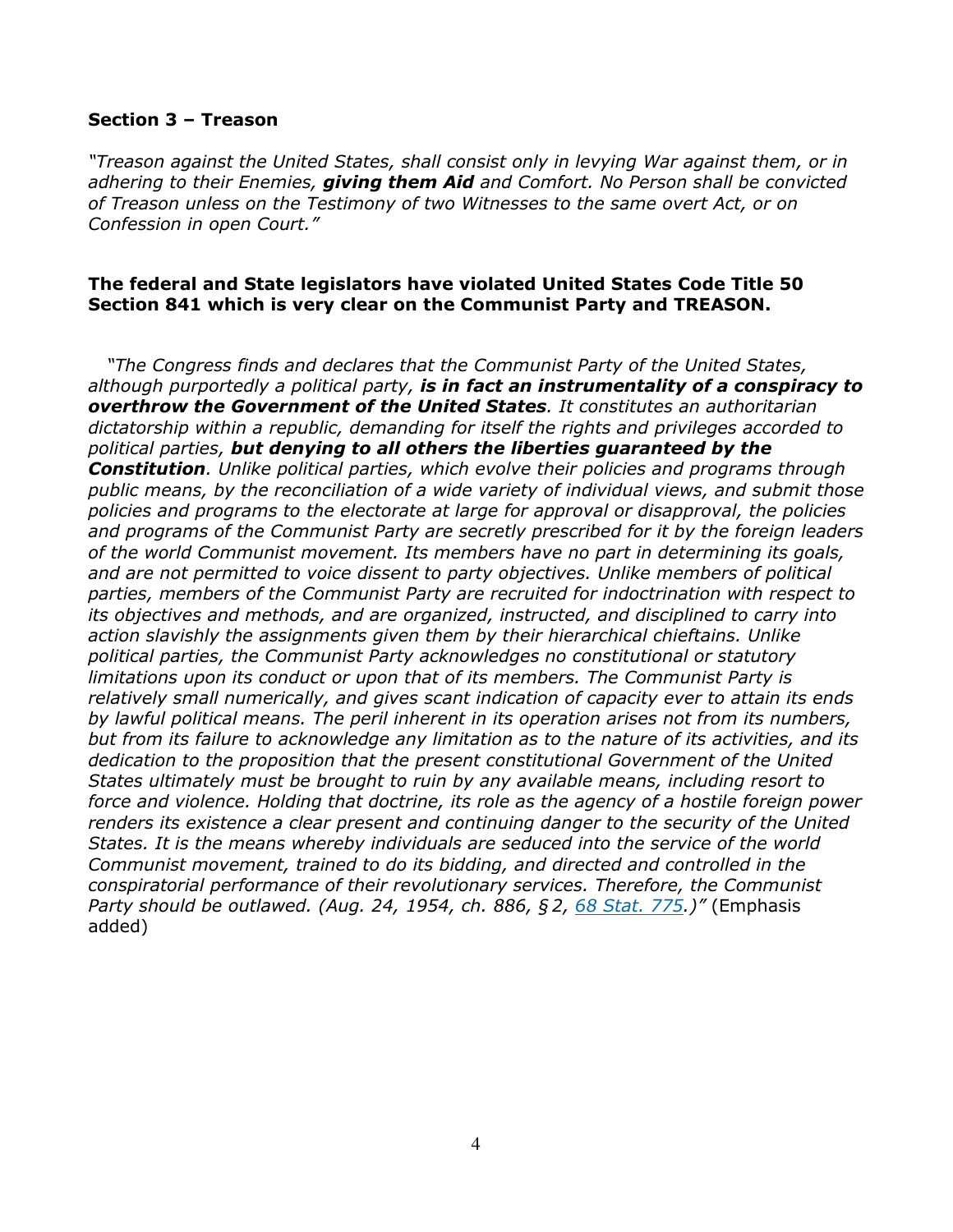#### **Section 3 – Treason**

*"Treason against the United States, shall consist only in levying War against them, or in adhering to their Enemies, giving them Aid and Comfort. No Person shall be convicted of Treason unless on the Testimony of two Witnesses to the same overt Act, or on Confession in open Court."* 

#### **The federal and State legislators have violated United States Code Title 50 Section 841 which is very clear on the Communist Party and TREASON.**

*"The Congress finds and declares that the Communist Party of the United States, although purportedly a political party, is in fact an instrumentality of a conspiracy to overthrow the Government of the United States. It constitutes an authoritarian dictatorship within a republic, demanding for itself the rights and privileges accorded to political parties, but denying to all others the liberties guaranteed by the Constitution. Unlike political parties, which evolve their policies and programs through public means, by the reconciliation of a wide variety of individual views, and submit those policies and programs to the electorate at large for approval or disapproval, the policies and programs of the Communist Party are secretly prescribed for it by the foreign leaders of the world Communist movement. Its members have no part in determining its goals, and are not permitted to voice dissent to party objectives. Unlike members of political parties, members of the Communist Party are recruited for indoctrination with respect to its objectives and methods, and are organized, instructed, and disciplined to carry into action slavishly the assignments given them by their hierarchical chieftains. Unlike political parties, the Communist Party acknowledges no constitutional or statutory limitations upon its conduct or upon that of its members. The Communist Party is relatively small numerically, and gives scant indication of capacity ever to attain its ends by lawful political means. The peril inherent in its operation arises not from its numbers, but from its failure to acknowledge any limitation as to the nature of its activities, and its dedication to the proposition that the present constitutional Government of the United States ultimately must be brought to ruin by any available means, including resort to force and violence. Holding that doctrine, its role as the agency of a hostile foreign power renders its existence a clear present and continuing danger to the security of the United States. It is the means whereby individuals are seduced into the service of the world Communist movement, trained to do its bidding, and directed and controlled in the conspiratorial performance of their revolutionary services. Therefore, the Communist Party should be outlawed. (Aug. 24, 1954, ch. 886, § 2, 68 Stat. 775.)"* (Emphasis added)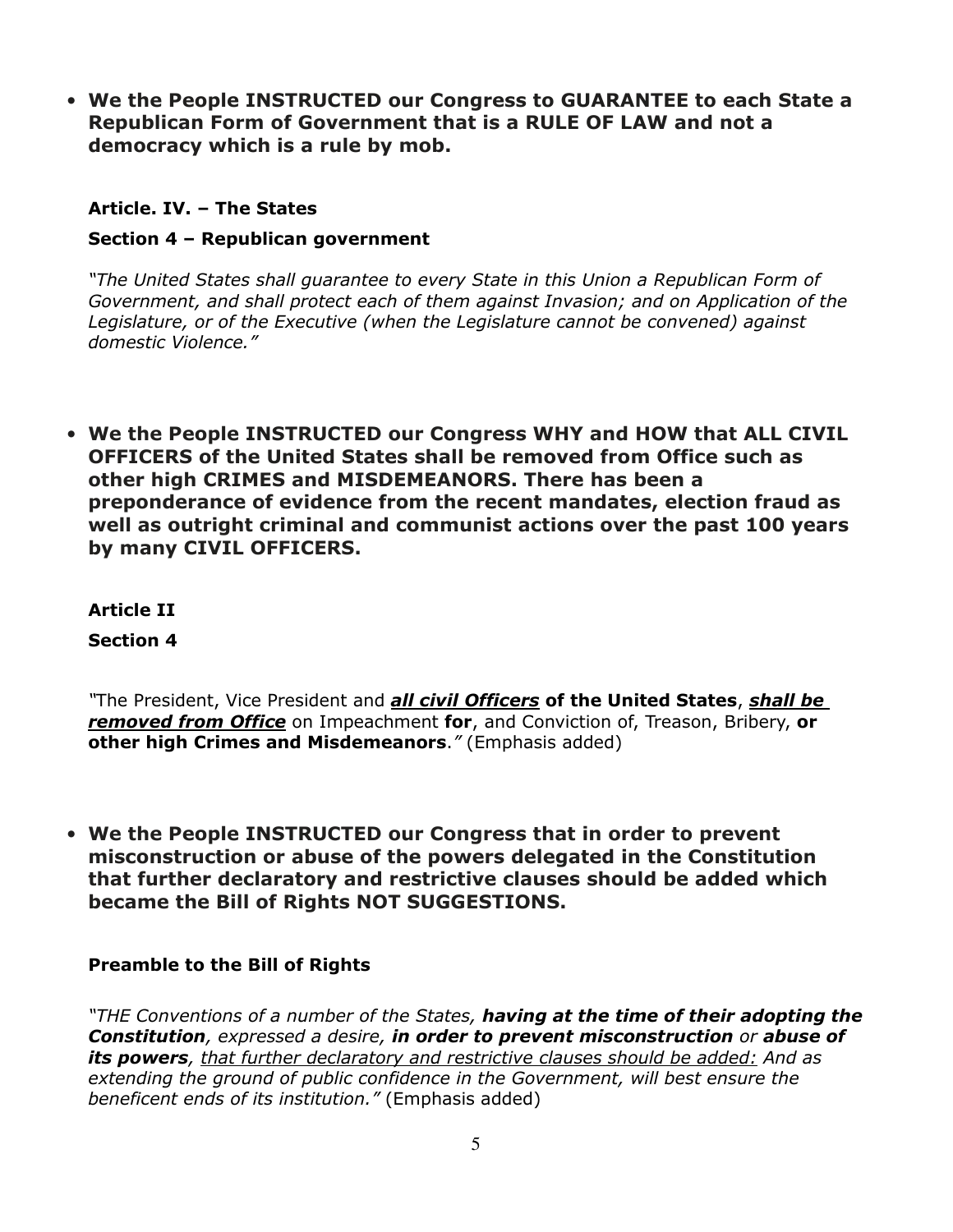• **We the People INSTRUCTED our Congress to GUARANTEE to each State a Republican Form of Government that is a RULE OF LAW and not a democracy which is a rule by mob.** 

### **Article. IV. – The States**

### **Section 4 – Republican government**

*"The United States shall guarantee to every State in this Union a Republican Form of Government, and shall protect each of them against Invasion; and on Application of the Legislature, or of the Executive (when the Legislature cannot be convened) against domestic Violence."* 

• **We the People INSTRUCTED our Congress WHY and HOW that ALL CIVIL OFFICERS of the United States shall be removed from Office such as other high CRIMES and MISDEMEANORS. There has been a preponderance of evidence from the recent mandates, election fraud as well as outright criminal and communist actions over the past 100 years by many CIVIL OFFICERS.** 

**Article II Section 4** 

*"*The President, Vice President and *all civil Officers* **of the United States**, *shall be removed from Office* on Impeachment **for**, and Conviction of, Treason, Bribery, **or other high Crimes and Misdemeanors**.*"* (Emphasis added)

• **We the People INSTRUCTED our Congress that in order to prevent misconstruction or abuse of the powers delegated in the Constitution that further declaratory and restrictive clauses should be added which became the Bill of Rights NOT SUGGESTIONS.** 

### **Preamble to the Bill of Rights**

*"THE Conventions of a number of the States, having at the time of their adopting the Constitution, expressed a desire, in order to prevent misconstruction or abuse of its powers, that further declaratory and restrictive clauses should be added: And as extending the ground of public confidence in the Government, will best ensure the beneficent ends of its institution."* (Emphasis added)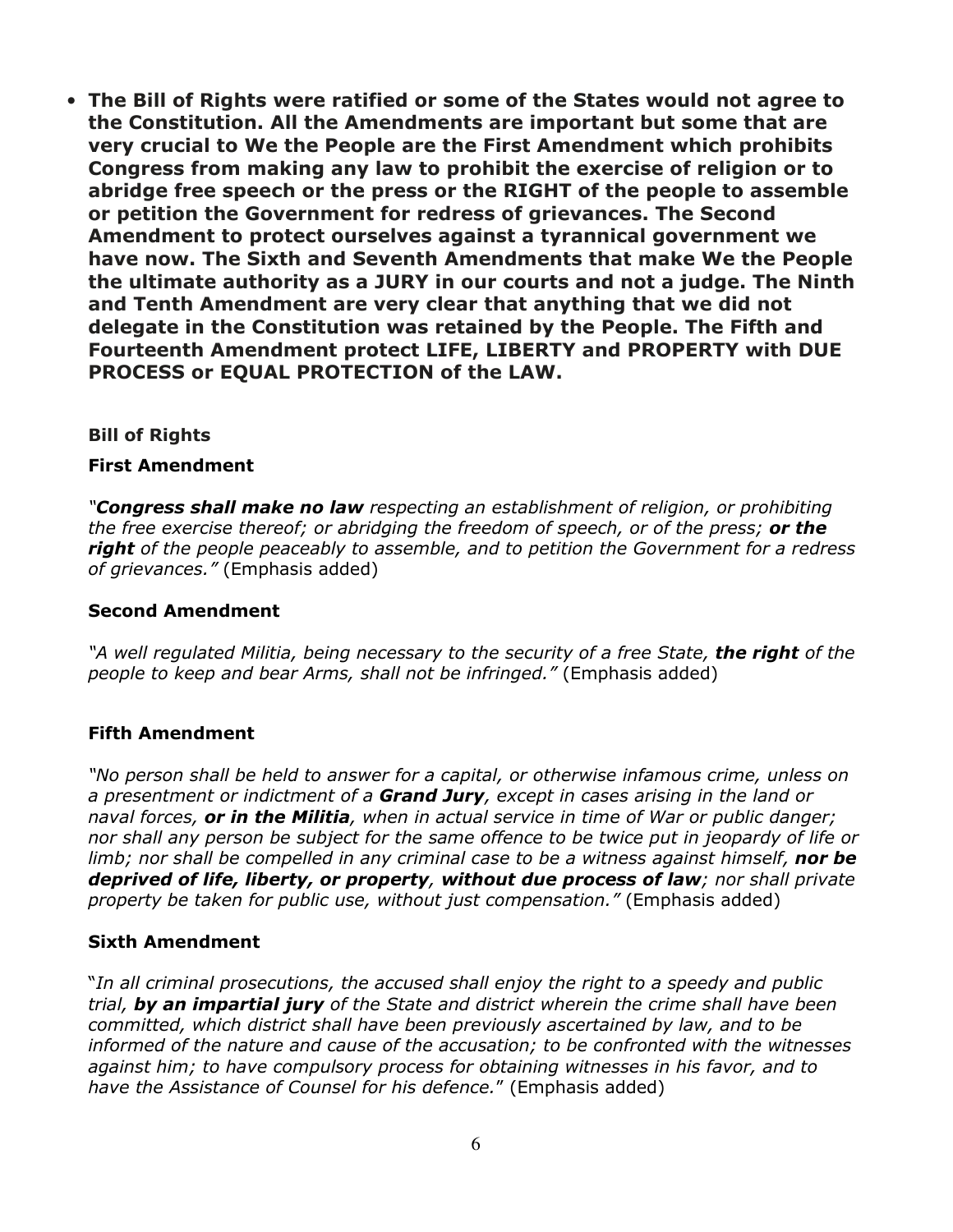• **The Bill of Rights were ratified or some of the States would not agree to the Constitution. All the Amendments are important but some that are very crucial to We the People are the First Amendment which prohibits Congress from making any law to prohibit the exercise of religion or to abridge free speech or the press or the RIGHT of the people to assemble or petition the Government for redress of grievances. The Second Amendment to protect ourselves against a tyrannical government we have now. The Sixth and Seventh Amendments that make We the People the ultimate authority as a JURY in our courts and not a judge. The Ninth and Tenth Amendment are very clear that anything that we did not delegate in the Constitution was retained by the People. The Fifth and Fourteenth Amendment protect LIFE, LIBERTY and PROPERTY with DUE PROCESS or EQUAL PROTECTION of the LAW.** 

### **Bill of Rights**

#### **First Amendment**

*"Congress shall make no law respecting an establishment of religion, or prohibiting the free exercise thereof; or abridging the freedom of speech, or of the press; or the right of the people peaceably to assemble, and to petition the Government for a redress of grievances."* (Emphasis added)

#### **Second Amendment**

*"A well regulated Militia, being necessary to the security of a free State, the right of the people to keep and bear Arms, shall not be infringed."* (Emphasis added)

### **Fifth Amendment**

*"No person shall be held to answer for a capital, or otherwise infamous crime, unless on a presentment or indictment of a Grand Jury, except in cases arising in the land or naval forces, or in the Militia, when in actual service in time of War or public danger; nor shall any person be subject for the same offence to be twice put in jeopardy of life or*  limb; nor shall be compelled in any criminal case to be a witness against himself, **nor be** *deprived of life, liberty, or property, without due process of law; nor shall private property be taken for public use, without just compensation."* (Emphasis added)

### **Sixth Amendment**

"*In all criminal prosecutions, the accused shall enjoy the right to a speedy and public trial, by an impartial jury of the State and district wherein the crime shall have been committed, which district shall have been previously ascertained by law, and to be informed of the nature and cause of the accusation; to be confronted with the witnesses against him; to have compulsory process for obtaining witnesses in his favor, and to have the Assistance of Counsel for his defence.*" (Emphasis added)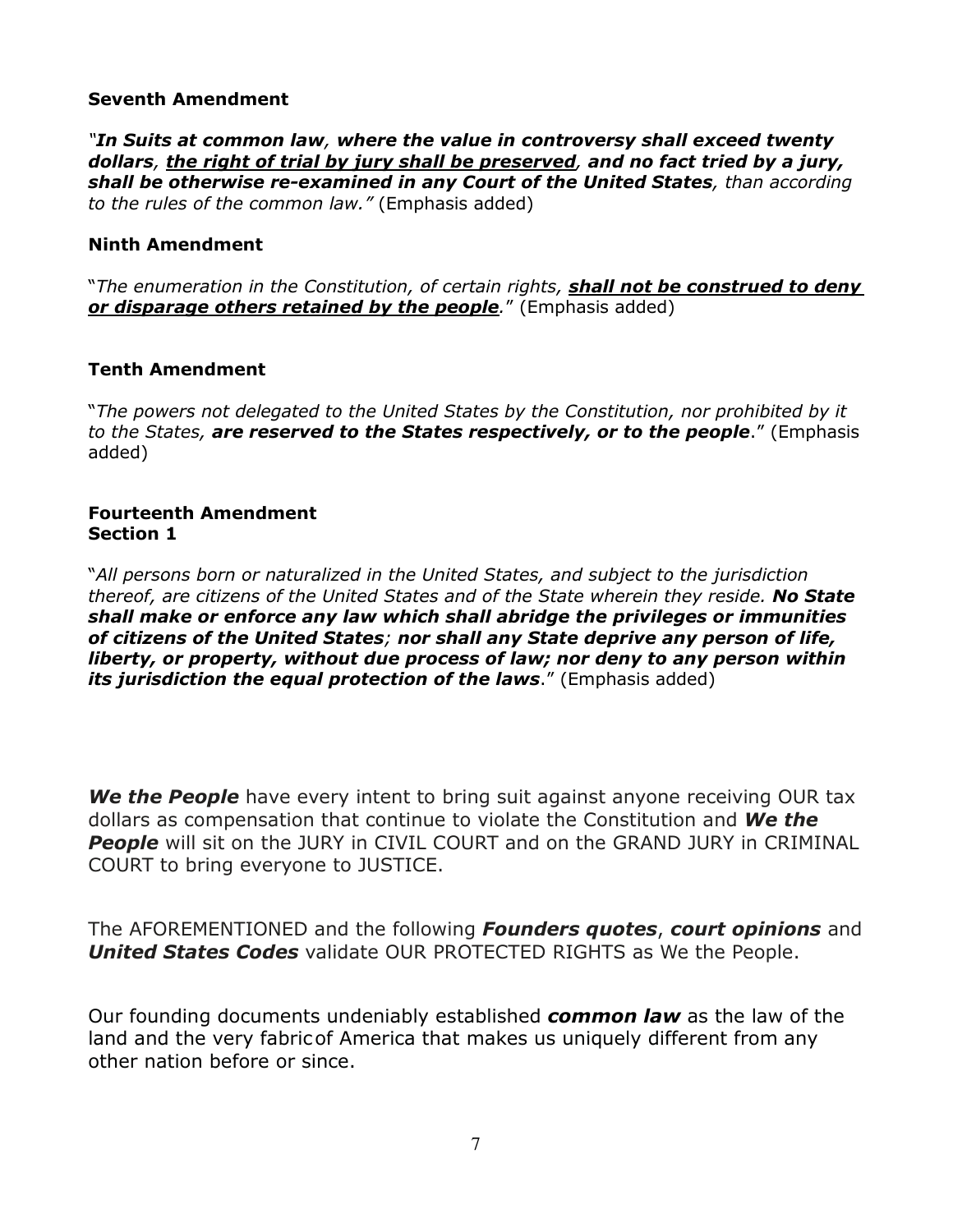#### **Seventh Amendment**

*"In Suits at common law, where the value in controversy shall exceed twenty dollars, the right of trial by jury shall be preserved, and no fact tried by a jury, shall be otherwise re-examined in any Court of the United States, than according to the rules of the common law."* (Emphasis added)

#### **Ninth Amendment**

"*The enumeration in the Constitution, of certain rights, shall not be construed to deny or disparage others retained by the people.*" (Emphasis added)

#### **Tenth Amendment**

"*The powers not delegated to the United States by the Constitution, nor prohibited by it to the States, are reserved to the States respectively, or to the people*." (Emphasis added)

#### **Fourteenth Amendment Section 1**

"*All persons born or naturalized in the United States, and subject to the jurisdiction thereof, are citizens of the United States and of the State wherein they reside. No State shall make or enforce any law which shall abridge the privileges or immunities of citizens of the United States; nor shall any State deprive any person of life, liberty, or property, without due process of law; nor deny to any person within its jurisdiction the equal protection of the laws."* (Emphasis added)

**We the People** have every intent to bring suit against anyone receiving OUR tax dollars as compensation that continue to violate the Constitution and *We the*  **People** will sit on the JURY in CIVIL COURT and on the GRAND JURY in CRIMINAL COURT to bring everyone to JUSTICE.

The AFOREMENTIONED and the following *Founders quotes*, *court opinions* and *United States Codes* validate OUR PROTECTED RIGHTS as We the People.

Our founding documents undeniably established *common law* as the law of the land and the very fabric of America that makes us uniquely different from any other nation before or since.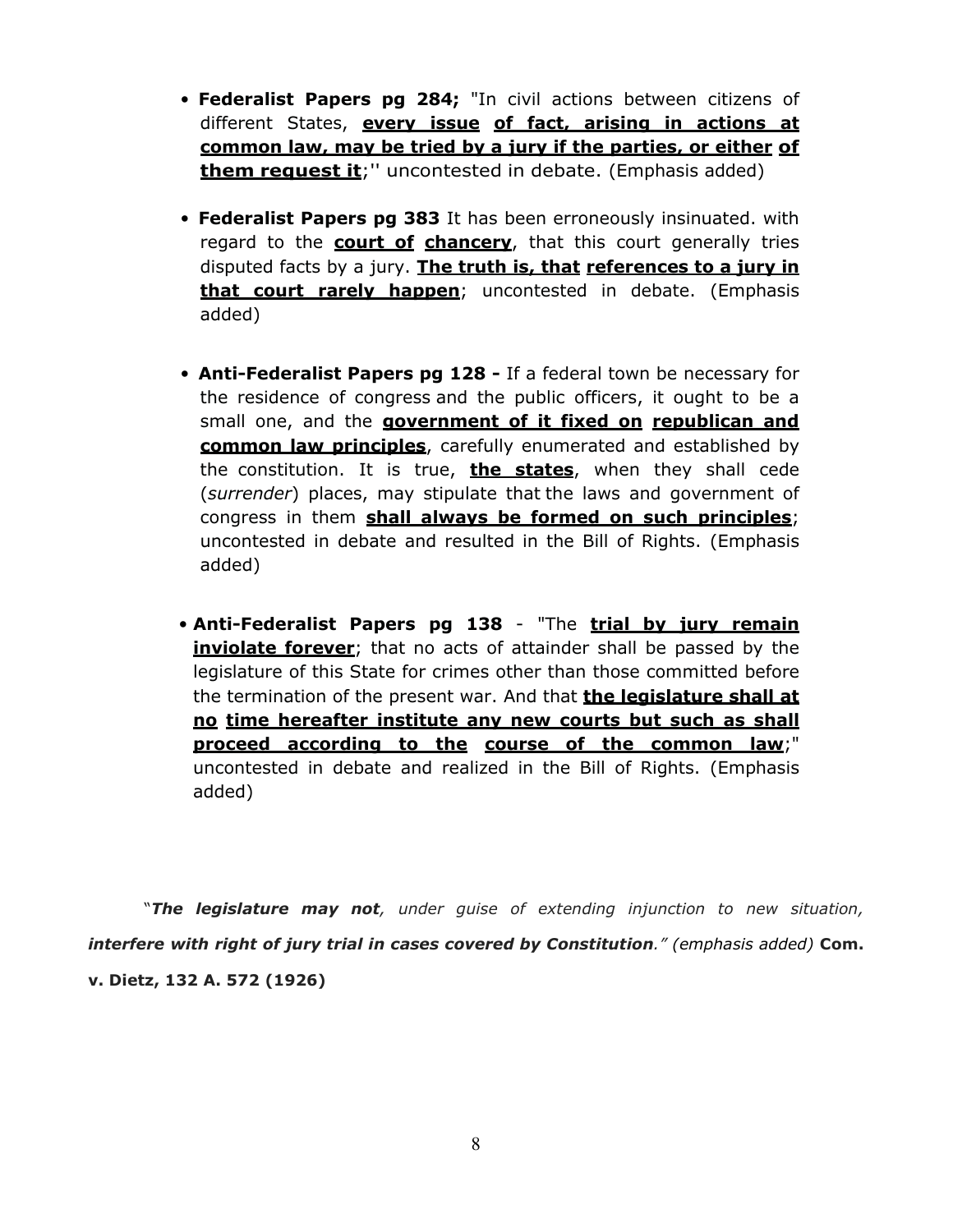- **Federalist Papers pg 284;** "In civil actions between citizens of different States, **every issue of fact, arising in actions at common law, may be tried by a jury if the parties, or either of them request it**;" uncontested in debate. (Emphasis added)
- **Federalist Papers pg 383** It has been erroneously insinuated. with regard to the **court of chancery**, that this court generally tries disputed facts by a jury. **The truth is, that references to a jury in that court rarely happen**; uncontested in debate. (Emphasis added)
- **Anti-Federalist Papers pg 128** If a federal town be necessary for the residence of congress and the public officers, it ought to be a small one, and the **government of it fixed on republican and common law principles**, carefully enumerated and established by the constitution. It is true, **the states**, when they shall cede (*surrender*) places, may stipulate that the laws and government of congress in them **shall always be formed on such principles**; uncontested in debate and resulted in the Bill of Rights. (Emphasis added)
- **Anti-Federalist Papers pg 138**  "The **trial by jury remain inviolate forever**; that no acts of attainder shall be passed by the legislature of this State for crimes other than those committed before the termination of the present war. And that **the legislature shall at no time hereafter institute any new courts but such as shall proceed according to the course of the common law**;" uncontested in debate and realized in the Bill of Rights. (Emphasis added)

"*The legislature may not, under guise of extending injunction to new situation, interfere with right of jury trial in cases covered by Constitution." (emphasis added)* **Com. v. Dietz, 132 A. 572 (1926)**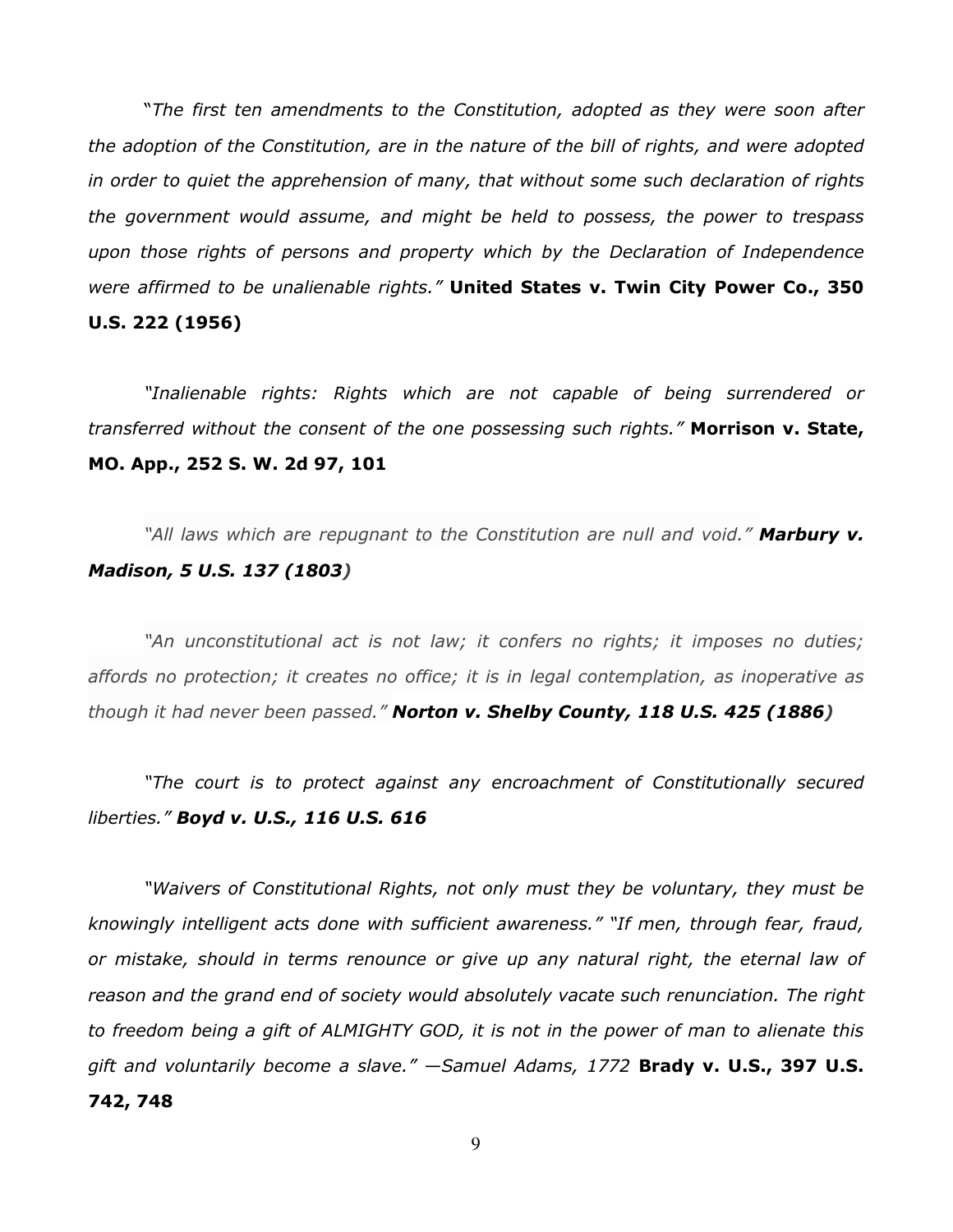"*The first ten amendments to the Constitution, adopted as they were soon after the adoption of the Constitution, are in the nature of the bill of rights, and were adopted in order to quiet the apprehension of many, that without some such declaration of rights the government would assume, and might be held to possess, the power to trespass upon those rights of persons and property which by the Declaration of Independence were affirmed to be unalienable rights."* **United States v. Twin City Power Co., 350 U.S. 222 (1956)** 

*"Inalienable rights: Rights which are not capable of being surrendered or transferred without the consent of the one possessing such rights."* **Morrison v. State, MO. App., 252 S. W. 2d 97, 101**

*"All laws which are repugnant to the Constitution are null and void." Marbury v. Madison, 5 U.S. 137 (1803)* 

*"An unconstitutional act is not law; it confers no rights; it imposes no duties; affords no protection; it creates no office; it is in legal contemplation, as inoperative as though it had never been passed." Norton v. Shelby County, 118 U.S. 425 (1886)* 

*"The court is to protect against any encroachment of Constitutionally secured liberties." Boyd v. U.S., 116 U.S. 616*

*"Waivers of Constitutional Rights, not only must they be voluntary, they must be knowingly intelligent acts done with sufficient awareness." "If men, through fear, fraud, or mistake, should in terms renounce or give up any natural right, the eternal law of reason and the grand end of society would absolutely vacate such renunciation. The right to freedom being a gift of ALMIGHTY GOD, it is not in the power of man to alienate this gift and voluntarily become a slave." —Samuel Adams, 1772* **Brady v. U.S., 397 U.S. 742, 748**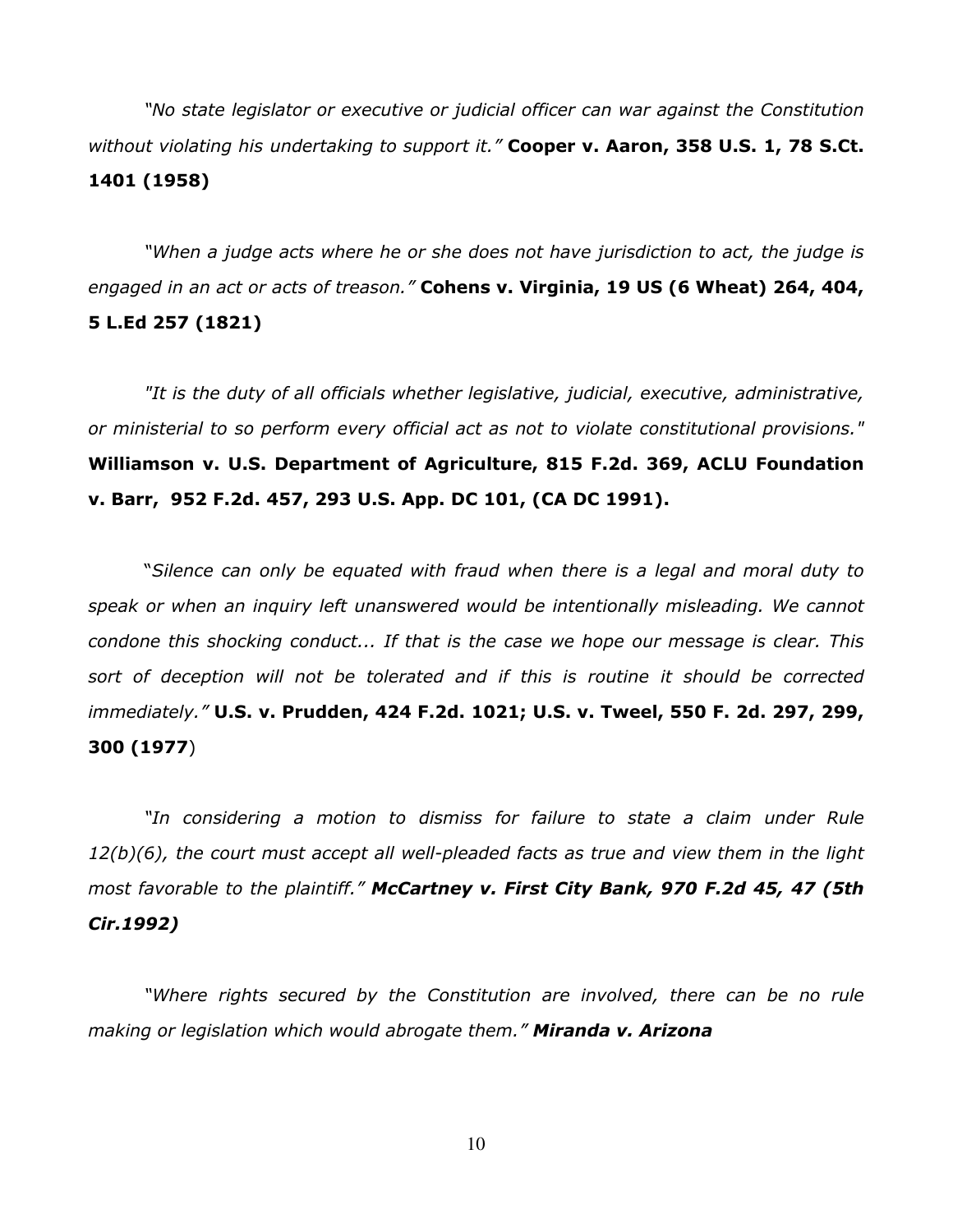*"No state legislator or executive or judicial officer can war against the Constitution without violating his undertaking to support it."* **Cooper v. Aaron, 358 U.S. 1, 78 S.Ct. 1401 (1958)**

*"When a judge acts where he or she does not have jurisdiction to act, the judge is engaged in an act or acts of treason."* **Cohens v. Virginia, 19 US (6 Wheat) 264, 404, 5 L.Ed 257 (1821)**

*"It is the duty of all officials whether legislative, judicial, executive, administrative, or ministerial to so perform every official act as not to violate constitutional provisions."*  **Williamson v. U.S. Department of Agriculture, 815 F.2d. 369, ACLU Foundation v. Barr, 952 F.2d. 457, 293 U.S. App. DC 101, (CA DC 1991).**

"*Silence can only be equated with fraud when there is a legal and moral duty to*  speak or when an inquiry left unanswered would be intentionally misleading. We cannot *condone this shocking conduct... If that is the case we hope our message is clear. This sort of deception will not be tolerated and if this is routine it should be corrected immediately."* **U.S. v. Prudden, 424 F.2d. 1021; U.S. v. Tweel, 550 F. 2d. 297, 299, 300 (1977**)

*"In considering a motion to dismiss for failure to state a claim under Rule 12(b)(6), the court must accept all well-pleaded facts as true and view them in the light most favorable to the plaintiff." McCartney v. First City Bank, 970 F.2d 45, 47 (5th Cir.1992)*

*"Where rights secured by the Constitution are involved, there can be no rule making or legislation which would abrogate them." Miranda v. Arizona*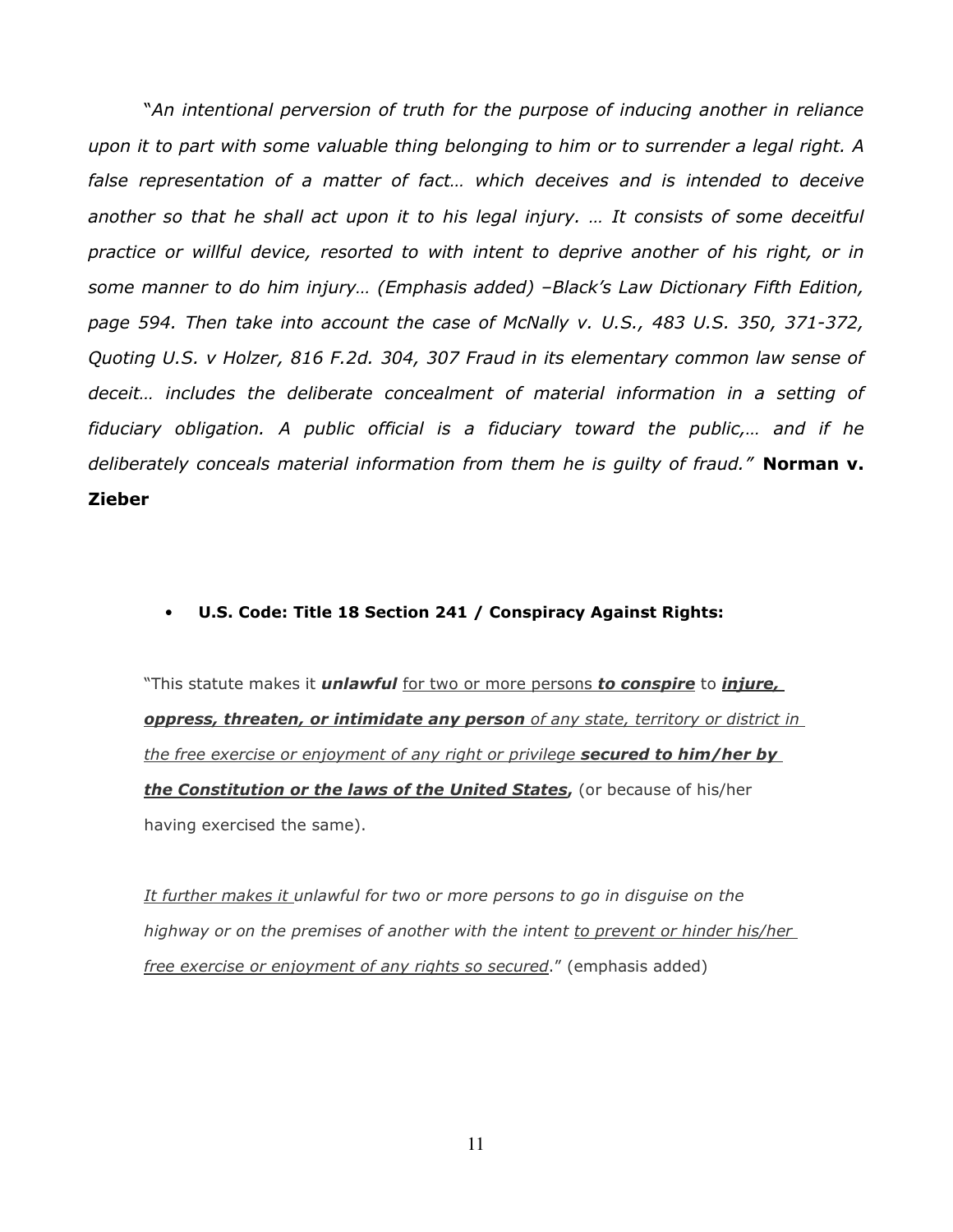"*An intentional perversion of truth for the purpose of inducing another in reliance upon it to part with some valuable thing belonging to him or to surrender a legal right. A false representation of a matter of fact… which deceives and is intended to deceive another so that he shall act upon it to his legal injury. … It consists of some deceitful practice or willful device, resorted to with intent to deprive another of his right, or in some manner to do him injury… (Emphasis added) –Black's Law Dictionary Fifth Edition, page 594. Then take into account the case of McNally v. U.S., 483 U.S. 350, 371-372, Quoting U.S. v Holzer, 816 F.2d. 304, 307 Fraud in its elementary common law sense of*  deceit... includes the deliberate concealment of material information in a setting of *fiduciary obligation. A public official is a fiduciary toward the public,… and if he deliberately conceals material information from them he is guilty of fraud."* **Norman v. Zieber**

#### • **U.S. Code: Title 18 Section 241 / Conspiracy Against Rights:**

"This statute makes it *unlawful* for two or more persons *to conspire* to *injure, oppress, threaten, or intimidate any person of any state, territory or district in the free exercise or enjoyment of any right or privilege secured to him/her by the Constitution or the laws of the United States***,** (or because of his/her having exercised the same).

*It further makes it unlawful for two or more persons to go in disguise on the highway or on the premises of another with the intent to prevent or hinder his/her free exercise or enjoyment of any rights so secured*." (emphasis added)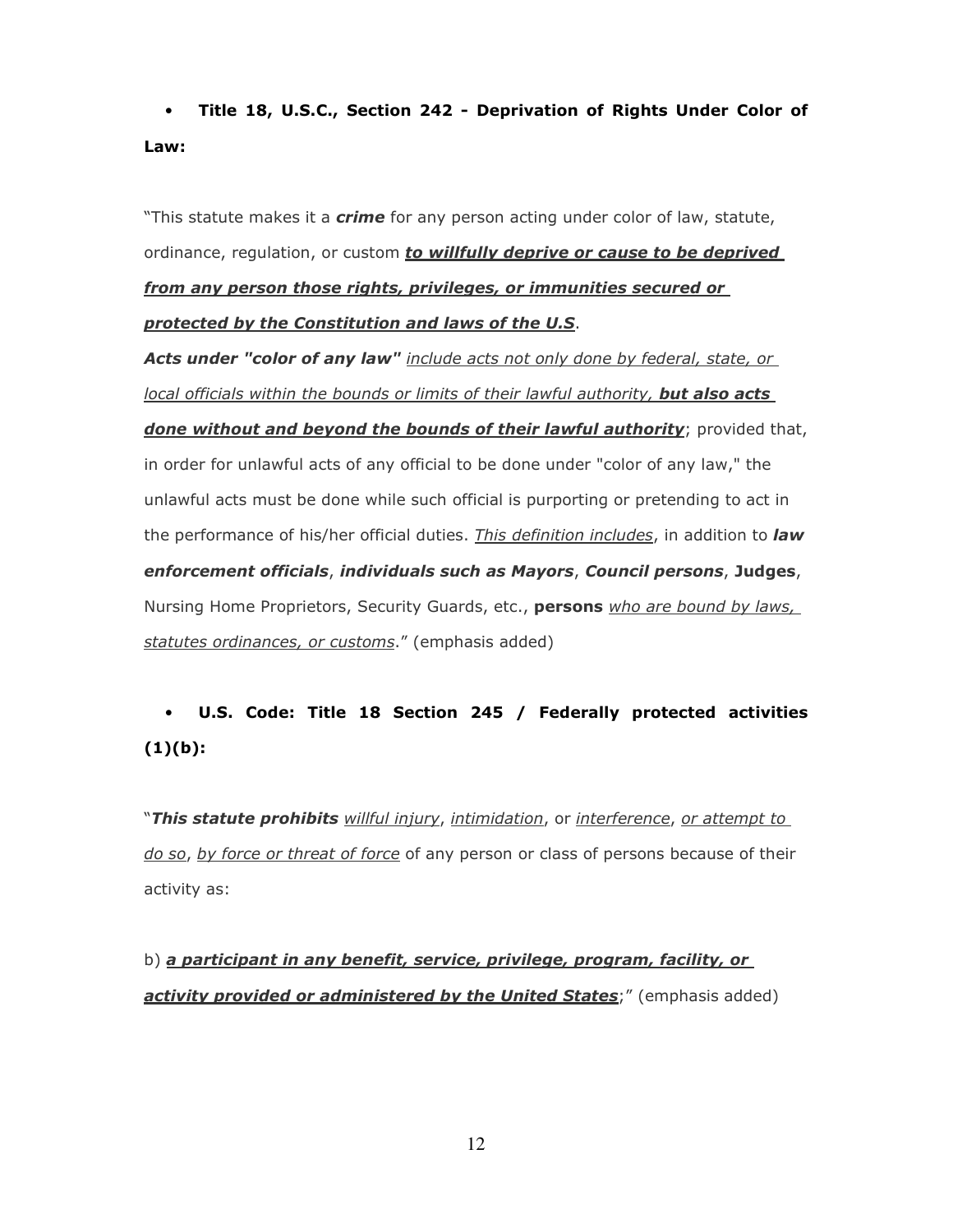• **Title 18, U.S.C., Section 242 - Deprivation of Rights Under Color of Law:** 

"This statute makes it a *crime* for any person acting under color of law, statute, ordinance, regulation, or custom *to willfully deprive or cause to be deprived from any person those rights, privileges, or immunities secured or protected by the Constitution and laws of the U.S*.

*Acts under "color of any law" include acts not only done by federal, state, or local officials within the bounds or limits of their lawful authority, but also acts done without and beyond the bounds of their lawful authority*; provided that, in order for unlawful acts of any official to be done under "color of any law," the unlawful acts must be done while such official is purporting or pretending to act in the performance of his/her official duties. *This definition includes*, in addition to *law enforcement officials*, *individuals such as Mayors*, *Council persons*, **Judges**, Nursing Home Proprietors, Security Guards, etc., **persons** *who are bound by laws, statutes ordinances, or customs*." (emphasis added)

• **U.S. Code: Title 18 Section 245 / Federally protected activities (1)(b):**

"*This statute prohibits willful injury*, *intimidation*, or *interference*, *or attempt to do so*, *by force or threat of force* of any person or class of persons because of their activity as:

b) *a participant in any benefit, service, privilege, program, facility, or activity provided or administered by the United States*;" (emphasis added)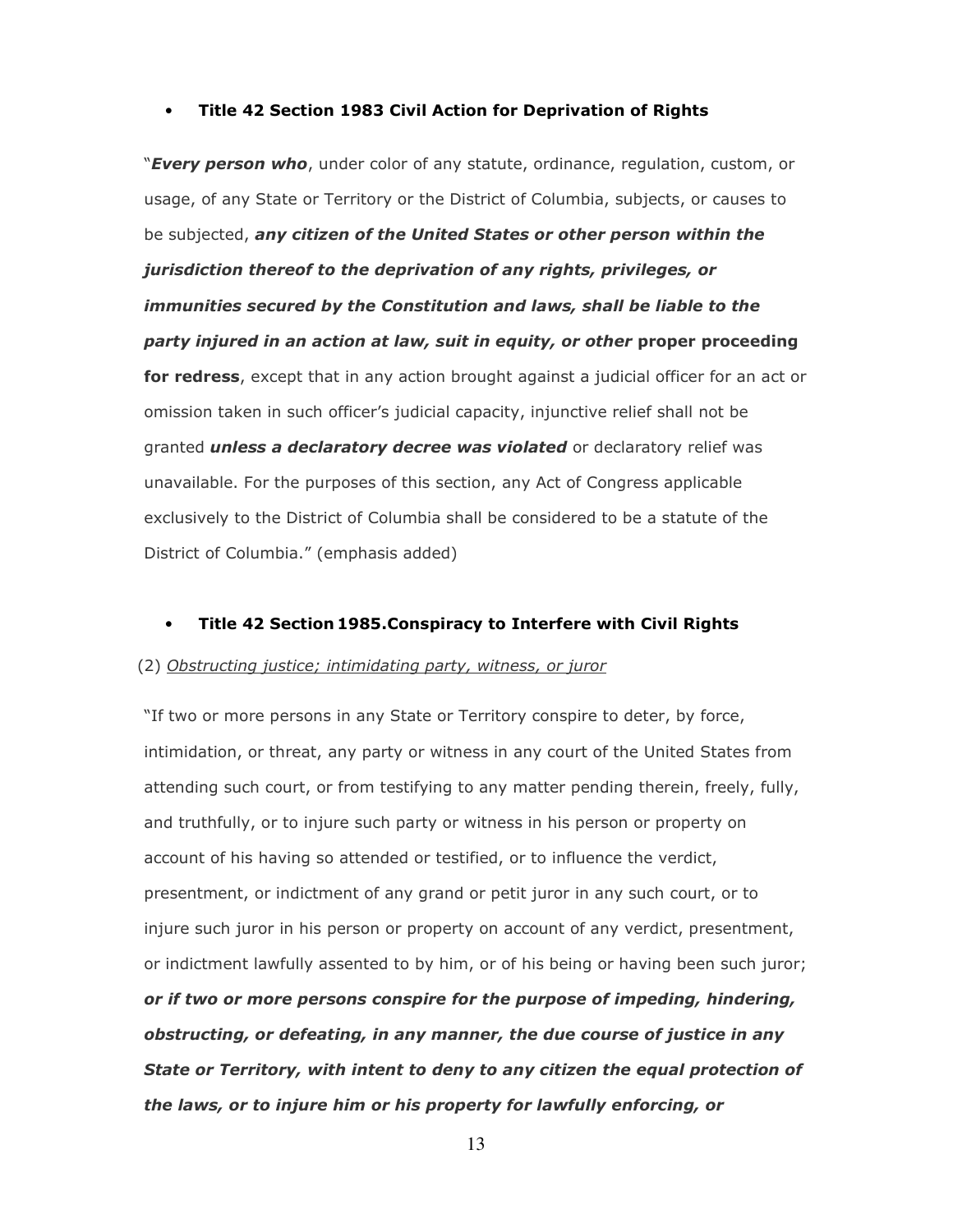#### • **Title 42 Section 1983 Civil Action for Deprivation of Rights**

"*Every person who*, under color of any statute, ordinance, regulation, custom, or usage, of any State or Territory or the District of Columbia, subjects, or causes to be subjected, *any citizen of the United States or other person within the jurisdiction thereof to the deprivation of any rights, privileges, or immunities secured by the Constitution and laws, shall be liable to the party injured in an action at law, suit in equity, or other* **proper proceeding for redress**, except that in any action brought against a judicial officer for an act or omission taken in such officer's judicial capacity, injunctive relief shall not be granted *unless a declaratory decree was violated* or declaratory relief was unavailable. For the purposes of this section, any Act of Congress applicable exclusively to the District of Columbia shall be considered to be a statute of the District of Columbia." (emphasis added)

#### • **Title 42 Section 1985.Conspiracy to Interfere with Civil Rights**

#### (2) *Obstructing justice; intimidating party, witness, or juror*

"If two or more persons in any State or Territory conspire to deter, by force, intimidation, or threat, any party or witness in any court of the United States from attending such court, or from testifying to any matter pending therein, freely, fully, and truthfully, or to injure such party or witness in his person or property on account of his having so attended or testified, or to influence the verdict, presentment, or indictment of any grand or petit juror in any such court, or to injure such juror in his person or property on account of any verdict, presentment, or indictment lawfully assented to by him, or of his being or having been such juror; *or if two or more persons conspire for the purpose of impeding, hindering, obstructing, or defeating, in any manner, the due course of justice in any State or Territory, with intent to deny to any citizen the equal protection of the laws, or to injure him or his property for lawfully enforcing, or*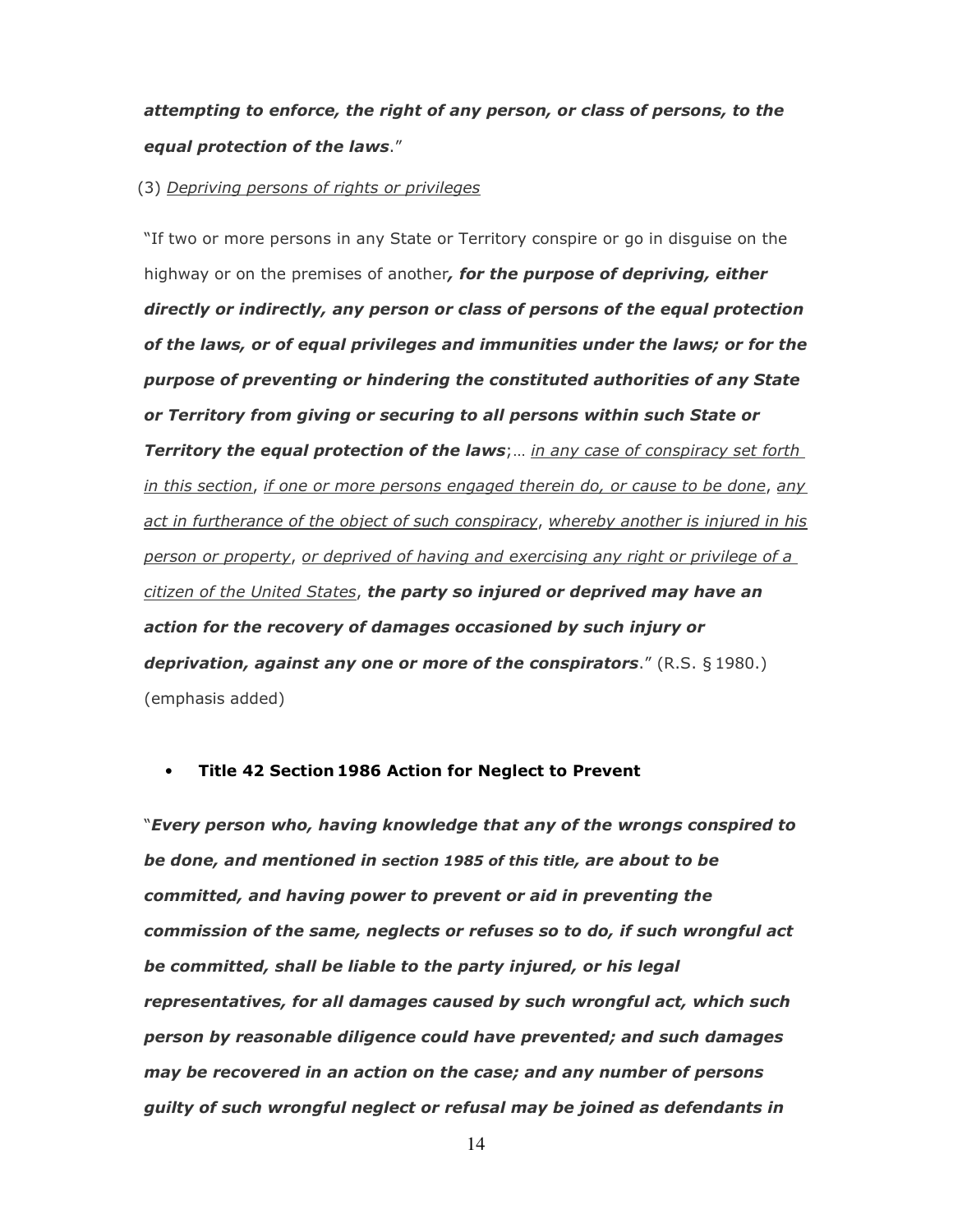## *attempting to enforce, the right of any person, or class of persons, to the equal protection of the laws*."

#### (3) *Depriving persons of rights or privileges*

"If two or more persons in any State or Territory conspire or go in disguise on the highway or on the premises of another*, for the purpose of depriving, either directly or indirectly, any person or class of persons of the equal protection of the laws, or of equal privileges and immunities under the laws; or for the purpose of preventing or hindering the constituted authorities of any State or Territory from giving or securing to all persons within such State or Territory the equal protection of the laws*;… *in any case of conspiracy set forth in this section*, *if one or more persons engaged therein do, or cause to be done*, *any act in furtherance of the object of such conspiracy*, *whereby another is injured in his person or property*, *or deprived of having and exercising any right or privilege of a citizen of the United States*, *the party so injured or deprived may have an action for the recovery of damages occasioned by such injury or deprivation, against any one or more of the conspirators*." (R.S. § 1980.) (emphasis added)

#### • **Title 42 Section 1986 Action for Neglect to Prevent**

"*Every person who, having knowledge that any of the wrongs conspired to be done, and mentioned in section 1985 of this title, are about to be committed, and having power to prevent or aid in preventing the commission of the same, neglects or refuses so to do, if such wrongful act be committed, shall be liable to the party injured, or his legal representatives, for all damages caused by such wrongful act, which such person by reasonable diligence could have prevented; and such damages may be recovered in an action on the case; and any number of persons guilty of such wrongful neglect or refusal may be joined as defendants in*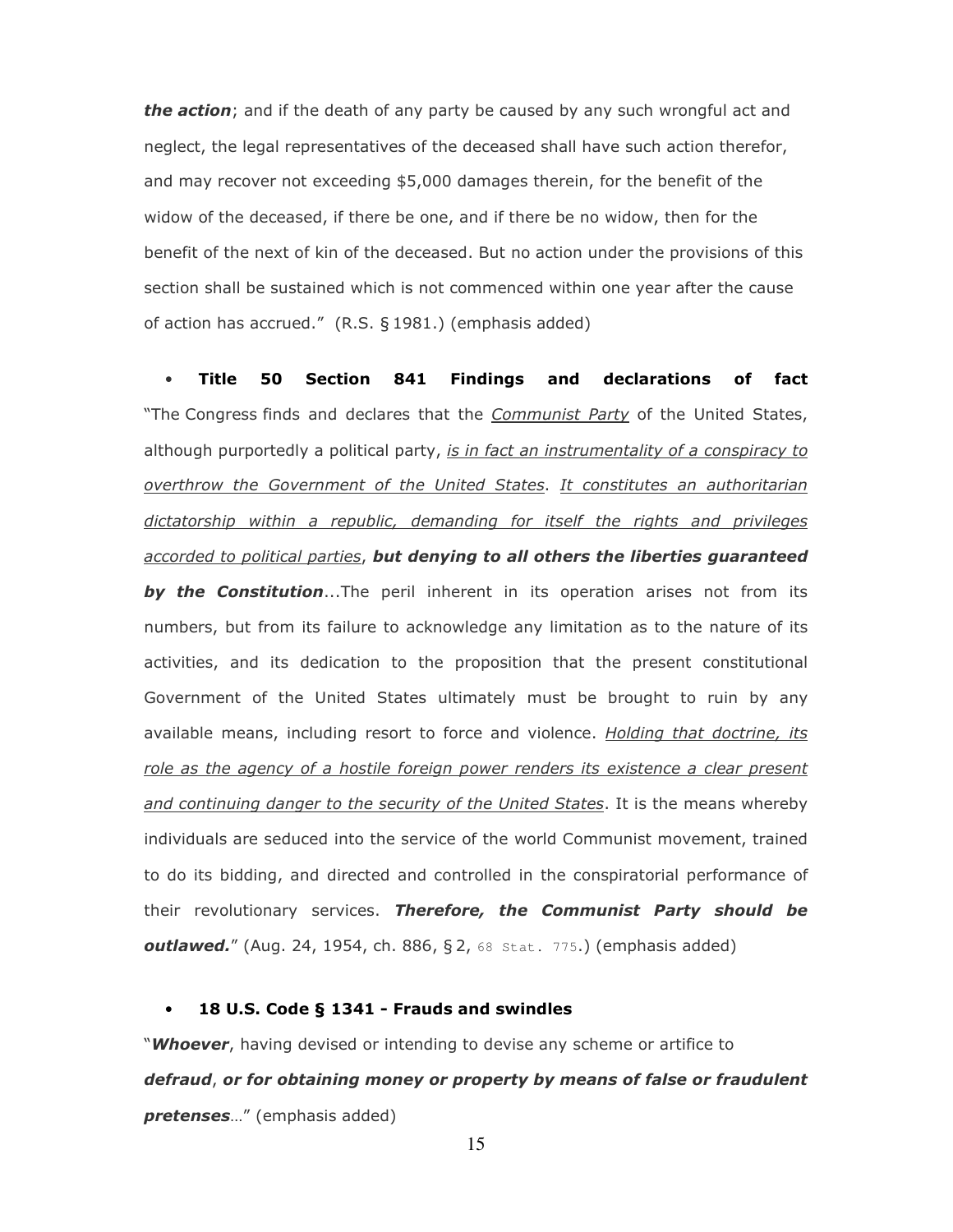*the action*; and if the death of any party be caused by any such wrongful act and neglect, the legal representatives of the deceased shall have such action therefor, and may recover not exceeding \$5,000 damages therein, for the benefit of the widow of the deceased, if there be one, and if there be no widow, then for the benefit of the next of kin of the deceased. But no action under the provisions of this section shall be sustained which is not commenced within one year after the cause of action has accrued." (R.S. § 1981.) (emphasis added)

• **Title 50 Section 841 Findings and declarations of fact** "The Congress finds and declares that the *Communist Party* of the United States, although purportedly a political party, *is in fact an instrumentality of a conspiracy to overthrow the Government of the United States*. *It constitutes an authoritarian dictatorship within a republic, demanding for itself the rights and privileges accorded to political parties*, *but denying to all others the liberties guaranteed by the Constitution*...The peril inherent in its operation arises not from its numbers, but from its failure to acknowledge any limitation as to the nature of its activities, and its dedication to the proposition that the present constitutional Government of the United States ultimately must be brought to ruin by any available means, including resort to force and violence. *Holding that doctrine, its*  role as the agency of a hostile foreign power renders its existence a clear present *and continuing danger to the security of the United States*. It is the means whereby individuals are seduced into the service of the world Communist movement, trained to do its bidding, and directed and controlled in the conspiratorial performance of their revolutionary services. *Therefore, the Communist Party should be outlawed.*" (Aug. 24, 1954, ch. 886, § 2, 68 Stat. 775.) (emphasis added)

#### • **18 U.S. Code § 1341 - Frauds and swindles**

"*Whoever*, having devised or intending to devise any scheme or artifice to *defraud*, *or for obtaining money or property by means of false or fraudulent pretenses*…" (emphasis added)